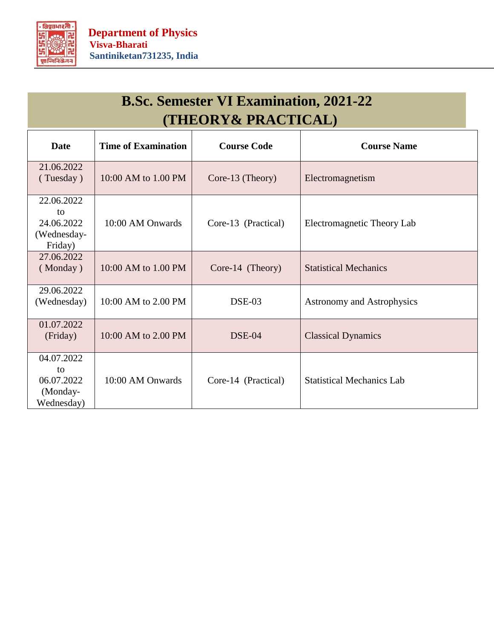

## **B.Sc. Semester VI Examination, 2021-22 (THEORY& PRACTICAL)**

| <b>Date</b>                                              | <b>Time of Examination</b> | <b>Course Code</b>  | <b>Course Name</b>                |
|----------------------------------------------------------|----------------------------|---------------------|-----------------------------------|
| 21.06.2022<br>(Tuesday)                                  | 10:00 AM to 1.00 PM        | Core-13 (Theory)    | Electromagnetism                  |
| 22.06.2022<br>to<br>24.06.2022<br>(Wednesday-<br>Friday) | 10:00 AM Onwards           | Core-13 (Practical) | Electromagnetic Theory Lab        |
| 27.06.2022<br>(Monday)                                   | 10:00 AM to 1.00 PM        | Core-14 (Theory)    | <b>Statistical Mechanics</b>      |
| 29.06.2022<br>(Wednesday)                                | 10:00 AM to 2.00 PM        | DSE-03              | <b>Astronomy and Astrophysics</b> |
| 01.07.2022<br>(Friday)                                   | 10:00 AM to 2.00 PM        | $DSE-04$            | <b>Classical Dynamics</b>         |
| 04.07.2022<br>to<br>06.07.2022<br>(Monday-<br>Wednesday) | 10:00 AM Onwards           | Core-14 (Practical) | <b>Statistical Mechanics Lab</b>  |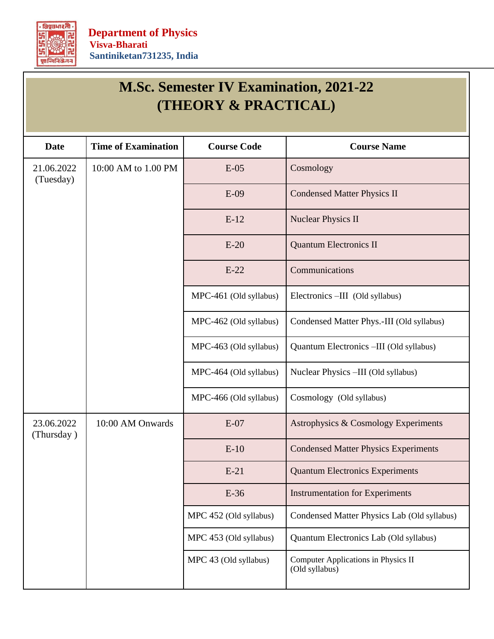

| <b>M.Sc. Semester IV Examination, 2021-22</b><br>(THEORY & PRACTICAL) |                            |                        |                                                       |  |  |  |
|-----------------------------------------------------------------------|----------------------------|------------------------|-------------------------------------------------------|--|--|--|
| <b>Date</b>                                                           | <b>Time of Examination</b> | <b>Course Code</b>     | <b>Course Name</b>                                    |  |  |  |
| 21.06.2022<br>(Tuesday)                                               | 10:00 AM to 1.00 PM        | $E-05$                 | Cosmology                                             |  |  |  |
|                                                                       |                            | $E-09$                 | <b>Condensed Matter Physics II</b>                    |  |  |  |
|                                                                       |                            | $E-12$                 | <b>Nuclear Physics II</b>                             |  |  |  |
|                                                                       |                            | $E-20$                 | <b>Quantum Electronics II</b>                         |  |  |  |
|                                                                       |                            | $E-22$                 | Communications                                        |  |  |  |
|                                                                       |                            | MPC-461 (Old syllabus) | Electronics -III (Old syllabus)                       |  |  |  |
|                                                                       |                            | MPC-462 (Old syllabus) | Condensed Matter Phys.-III (Old syllabus)             |  |  |  |
|                                                                       |                            | MPC-463 (Old syllabus) | Quantum Electronics -III (Old syllabus)               |  |  |  |
|                                                                       |                            | MPC-464 (Old syllabus) | Nuclear Physics -III (Old syllabus)                   |  |  |  |
|                                                                       |                            | MPC-466 (Old syllabus) | Cosmology (Old syllabus)                              |  |  |  |
| 23.06.2022<br>(Thursday)                                              | 10:00 AM Onwards           | $E-07$                 | Astrophysics & Cosmology Experiments                  |  |  |  |
|                                                                       |                            | $E-10$                 | <b>Condensed Matter Physics Experiments</b>           |  |  |  |
|                                                                       |                            | $E-21$                 | <b>Quantum Electronics Experiments</b>                |  |  |  |
|                                                                       |                            | $E-36$                 | <b>Instrumentation for Experiments</b>                |  |  |  |
|                                                                       |                            | MPC 452 (Old syllabus) | Condensed Matter Physics Lab (Old syllabus)           |  |  |  |
|                                                                       |                            | MPC 453 (Old syllabus) | Quantum Electronics Lab (Old syllabus)                |  |  |  |
|                                                                       |                            | MPC 43 (Old syllabus)  | Computer Applications in Physics II<br>(Old syllabus) |  |  |  |

 $\overline{\phantom{a}}$